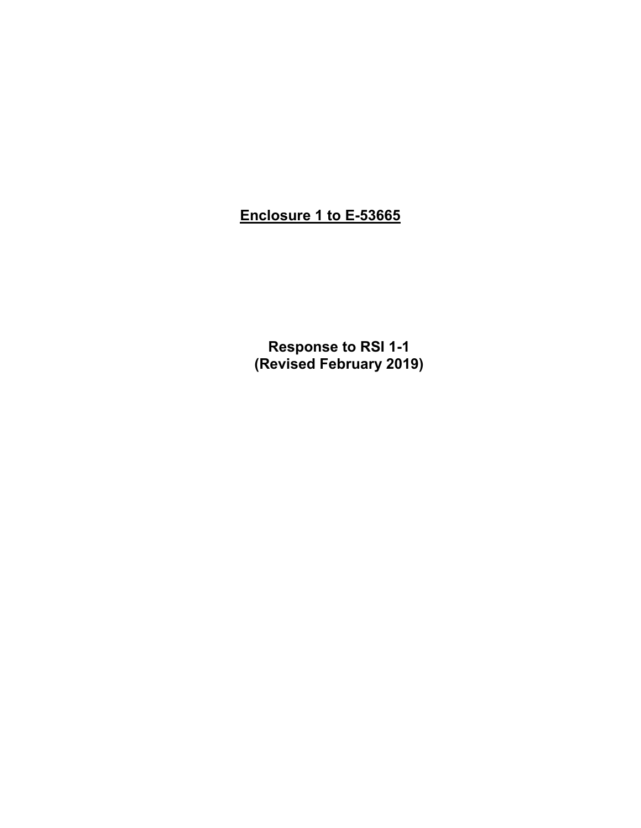# **Enclosure 1 to E-53665**

**Response to RSI 1-1 (Revised February 2019)**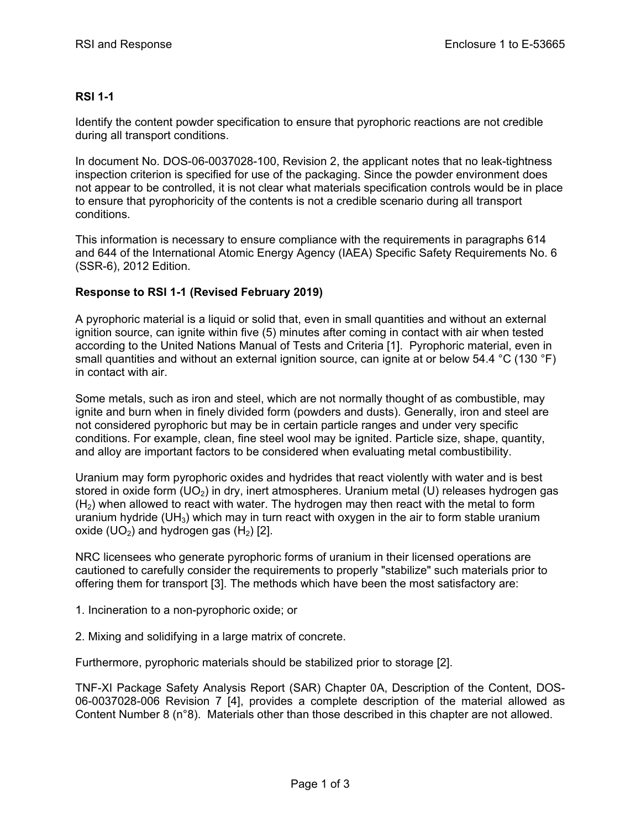### **RSI 1-1**

Identify the content powder specification to ensure that pyrophoric reactions are not credible during all transport conditions.

In document No. DOS-06-0037028-100, Revision 2, the applicant notes that no leak-tightness inspection criterion is specified for use of the packaging. Since the powder environment does not appear to be controlled, it is not clear what materials specification controls would be in place to ensure that pyrophoricity of the contents is not a credible scenario during all transport conditions.

This information is necessary to ensure compliance with the requirements in paragraphs 614 and 644 of the International Atomic Energy Agency (IAEA) Specific Safety Requirements No. 6 (SSR-6), 2012 Edition.

#### **Response to RSI 1-1 (Revised February 2019)**

A pyrophoric material is a liquid or solid that, even in small quantities and without an external ignition source, can ignite within five (5) minutes after coming in contact with air when tested according to the United Nations Manual of Tests and Criteria [1]. Pyrophoric material, even in small quantities and without an external ignition source, can ignite at or below 54.4 °C (130 °F) in contact with air.

Some metals, such as iron and steel, which are not normally thought of as combustible, may ignite and burn when in finely divided form (powders and dusts). Generally, iron and steel are not considered pyrophoric but may be in certain particle ranges and under very specific conditions. For example, clean, fine steel wool may be ignited. Particle size, shape, quantity, and alloy are important factors to be considered when evaluating metal combustibility.

Uranium may form pyrophoric oxides and hydrides that react violently with water and is best stored in oxide form  $(UO<sub>2</sub>)$  in dry, inert atmospheres. Uranium metal (U) releases hydrogen gas  $(H<sub>2</sub>)$  when allowed to react with water. The hydrogen may then react with the metal to form uranium hydride (UH<sub>3</sub>) which may in turn react with oxygen in the air to form stable uranium oxide  $(UD<sub>2</sub>)$  and hydrogen gas  $(H<sub>2</sub>)$  [2].

NRC licensees who generate pyrophoric forms of uranium in their licensed operations are cautioned to carefully consider the requirements to properly "stabilize" such materials prior to offering them for transport [3]. The methods which have been the most satisfactory are:

- 1. Incineration to a non-pyrophoric oxide; or
- 2. Mixing and solidifying in a large matrix of concrete.

Furthermore, pyrophoric materials should be stabilized prior to storage [2].

TNF-XI Package Safety Analysis Report (SAR) Chapter 0A, Description of the Content, DOS-06-0037028-006 Revision 7 [4], provides a complete description of the material allowed as Content Number 8 (n°8). Materials other than those described in this chapter are not allowed.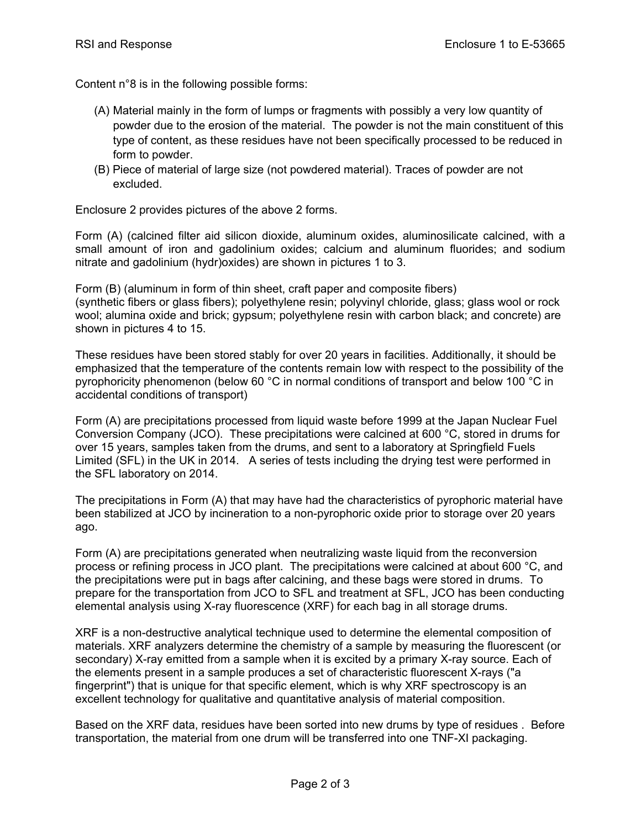Content n°8 is in the following possible forms:

- (A) Material mainly in the form of lumps or fragments with possibly a very low quantity of powder due to the erosion of the material. The powder is not the main constituent of this type of content, as these residues have not been specifically processed to be reduced in form to powder.
- (B) Piece of material of large size (not powdered material). Traces of powder are not excluded.

Enclosure 2 provides pictures of the above 2 forms.

Form (A) (calcined filter aid silicon dioxide, aluminum oxides, aluminosilicate calcined, with a small amount of iron and gadolinium oxides; calcium and aluminum fluorides; and sodium nitrate and gadolinium (hydr)oxides) are shown in pictures 1 to 3.

Form (B) (aluminum in form of thin sheet, craft paper and composite fibers) (synthetic fibers or glass fibers); polyethylene resin; polyvinyl chloride, glass; glass wool or rock wool; alumina oxide and brick; gypsum; polyethylene resin with carbon black; and concrete) are shown in pictures 4 to 15.

These residues have been stored stably for over 20 years in facilities. Additionally, it should be emphasized that the temperature of the contents remain low with respect to the possibility of the pyrophoricity phenomenon (below 60 °C in normal conditions of transport and below 100 °C in accidental conditions of transport)

Form (A) are precipitations processed from liquid waste before 1999 at the Japan Nuclear Fuel Conversion Company (JCO). These precipitations were calcined at 600 °C, stored in drums for over 15 years, samples taken from the drums, and sent to a laboratory at Springfield Fuels Limited (SFL) in the UK in 2014. A series of tests including the drying test were performed in the SFL laboratory on 2014.

The precipitations in Form (A) that may have had the characteristics of pyrophoric material have been stabilized at JCO by incineration to a non-pyrophoric oxide prior to storage over 20 years ago.

Form (A) are precipitations generated when neutralizing waste liquid from the reconversion process or refining process in JCO plant. The precipitations were calcined at about 600 °C, and the precipitations were put in bags after calcining, and these bags were stored in drums. To prepare for the transportation from JCO to SFL and treatment at SFL, JCO has been conducting elemental analysis using X-ray fluorescence (XRF) for each bag in all storage drums.

XRF is a non-destructive analytical technique used to determine the elemental composition of materials. XRF analyzers determine the chemistry of a sample by measuring the fluorescent (or secondary) X-ray emitted from a sample when it is excited by a primary X-ray source. Each of the elements present in a sample produces a set of characteristic fluorescent X-rays ("a fingerprint") that is unique for that specific element, which is why XRF spectroscopy is an excellent technology for qualitative and quantitative analysis of material composition.

Based on the XRF data, residues have been sorted into new drums by type of residues . Before transportation, the material from one drum will be transferred into one TNF-XI packaging.